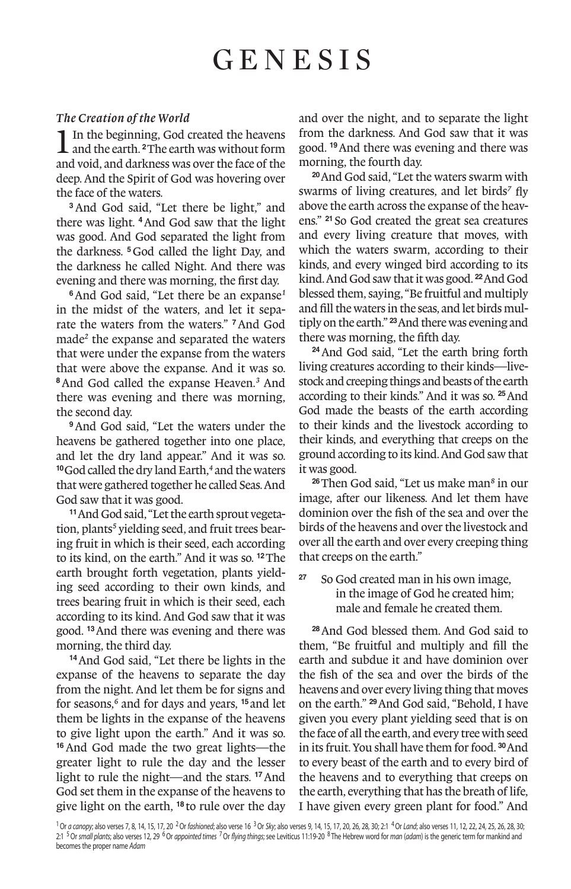# GENESIS

### *The Creation of the World*

1In the beginning, God created the heavens and the earth. **<sup>2</sup>**The earth was without form and void, and darkness was over the face of the deep. And the Spirit of God was hovering over the face of the waters.

**<sup>3</sup>**And God said, "Let there be light," and there was light. **<sup>4</sup>**And God saw that the light was good. And God separated the light from the darkness. **<sup>5</sup>**God called the light Day, and the darkness he called Night. And there was evening and there was morning, the first day.

**<sup>6</sup>**And God said, "Let there be an expanse*1* in the midst of the waters, and let it separate the waters from the waters." **<sup>7</sup>**And God made*2* the expanse and separated the waters that were under the expanse from the waters that were above the expanse. And it was so. **<sup>8</sup>**And God called the expanse Heaven.*3* And there was evening and there was morning, the second day.

**<sup>9</sup>**And God said, "Let the waters under the heavens be gathered together into one place, and let the dry land appear." And it was so. **<sup>10</sup>**God called the dry land Earth,*4* and the waters that were gathered together he called Seas. And God saw that it was good.

**11**And God said, "Let the earth sprout vegetation, plants*5* yielding seed, and fruit trees bearing fruit in which is their seed, each according to its kind, on the earth." And it was so. **<sup>12</sup>**The earth brought forth vegetation, plants yielding seed according to their own kinds, and trees bearing fruit in which is their seed, each according to its kind. And God saw that it was good. **<sup>13</sup>**And there was evening and there was morning, the third day.

**<sup>14</sup>**And God said, "Let there be lights in the expanse of the heavens to separate the day from the night. And let them be for signs and for seasons,*6* and for days and years, **<sup>15</sup>** and let them be lights in the expanse of the heavens to give light upon the earth." And it was so. **<sup>16</sup>**And God made the two great lights—the greater light to rule the day and the lesser light to rule the night—and the stars. **<sup>17</sup>**And God set them in the expanse of the heavens to give light on the earth, **<sup>18</sup>** to rule over the day

and over the night, and to separate the light from the darkness. And God saw that it was good. **<sup>19</sup>**And there was evening and there was morning, the fourth day.

**<sup>20</sup>**And God said, "Let the waters swarm with swarms of living creatures, and let birds*7* fly above the earth across the expanse of the heavens." **<sup>21</sup>** So God created the great sea creatures and every living creature that moves, with which the waters swarm, according to their kinds, and every winged bird according to its kind. And God saw that it was good. **<sup>22</sup>**And God blessed them, saying, "Be fruitful and multiply and fill the waters in the seas, and let birds multiply on the earth." **<sup>23</sup>**And there was evening and there was morning, the fifth day.

**<sup>24</sup>**And God said, "Let the earth bring forth living creatures according to their kinds—livestock and creeping things and beasts of the earth according to their kinds." And it was so. **<sup>25</sup>**And God made the beasts of the earth according to their kinds and the livestock according to their kinds, and everything that creeps on the ground according to its kind. And God saw that it was good.

**<sup>26</sup>**Then God said, "Let us make man*8* in our image, after our likeness. And let them have dominion over the fish of the sea and over the birds of the heavens and over the livestock and over all the earth and over every creeping thing that creeps on the earth."

**<sup>27</sup>** So God created man in his own image, in the image of God he created him; male and female he created them.

**<sup>28</sup>**And God blessed them. And God said to them, "Be fruitful and multiply and fill the earth and subdue it and have dominion over the fish of the sea and over the birds of the heavens and over every living thing that moves on the earth." **<sup>29</sup>**And God said, "Behold, I have given you every plant yielding seed that is on the face of all the earth, and every tree with seed in its fruit. You shall have them for food. **<sup>30</sup>**And to every beast of the earth and to every bird of the heavens and to everything that creeps on the earth, everything that has the breath of life, I have given every green plant for food." And

<sup>1</sup> Or a canopy; also verses 7, 8, 14, 15, 17, 20<sup>2</sup> Or fashioned; also verse 16<sup>3</sup> Or Sky; also verses 9, 14, 15, 17, 20, 26, 28, 20; 28, 20; 21<sup>4</sup> Or Land; also verses 11, 12, 22, 24, 25, 26, 28, 30; 2:1 <sup>5</sup> Or small plants; also verses 12, 29 <sup>6</sup> Or appointed times <sup>7</sup> Or flying things; see Leviticus 11:19-20 <sup>8</sup> The Hebrew word for man (adam) is the generic term for mankind and becomes the proper name Adam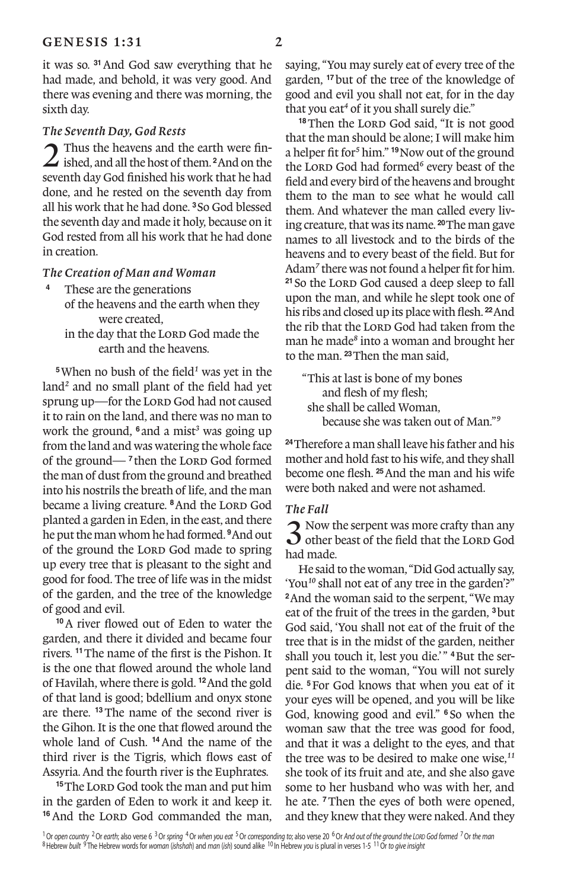it was so. **<sup>31</sup>**And God saw everything that he had made, and behold, it was very good. And there was evening and there was morning, the sixth day.

## *The Seventh Day, God Rests*

2 Thus the heavens and the earth were finished, and all the host of them. **<sup>2</sup>**And on the seventh day God finished his work that he had done, and he rested on the seventh day from all his work that he had done. **<sup>3</sup>**So God blessed the seventh day and made it holy, because on it God rested from all his work that he had done in creation.

## *The Creation of Man and Woman*

- **<sup>4</sup>** These are the generations of the heavens and the earth when they were created,
	- in the day that the LORD God made the earth and the heavens.

**<sup>5</sup>**When no bush of the field*1* was yet in the land*2* and no small plant of the field had yet sprung up—for the LORD God had not caused it to rain on the land, and there was no man to work the ground, **<sup>6</sup>** and a mist*3* was going up from the land and was watering the whole face of the ground—<sup>7</sup> then the LORD God formed the man of dust from the ground and breathed into his nostrils the breath of life, and the man became a living creature. <sup>8</sup>And the LORD God planted a garden in Eden, in the east, and there he put the man whom he had formed. **<sup>9</sup>**And out of the ground the LORD God made to spring up every tree that is pleasant to the sight and good for food. The tree of life was in the midst of the garden, and the tree of the knowledge of good and evil.

**<sup>10</sup>**A river flowed out of Eden to water the garden, and there it divided and became four rivers. **<sup>11</sup>**The name of the first is the Pishon. It is the one that flowed around the whole land of Havilah, where there is gold. **<sup>12</sup>**And the gold of that land is good; bdellium and onyx stone are there. **<sup>13</sup>**The name of the second river is the Gihon. It is the one that flowed around the whole land of Cush. **<sup>14</sup>**And the name of the third river is the Tigris, which flows east of Assyria. And the fourth river is the Euphrates.

<sup>15</sup>The LORD God took the man and put him in the garden of Eden to work it and keep it. <sup>16</sup> And the LORD God commanded the man,

saying, "You may surely eat of every tree of the garden, **<sup>17</sup>**but of the tree of the knowledge of good and evil you shall not eat, for in the day that you eat*4* of it you shall surely die."

<sup>18</sup> Then the LORD God said, "It is not good that the man should be alone; I will make him a helper fit for*5* him." **<sup>19</sup>**Now out of the ground the LORD God had formed<sup>6</sup> every beast of the field and every bird of the heavens and brought them to the man to see what he would call them. And whatever the man called every living creature, that was its name. **<sup>20</sup>**The man gave names to all livestock and to the birds of the heavens and to every beast of the field. But for Adam*7* there was not found a helper fit for him. <sup>21</sup> So the LORD God caused a deep sleep to fall upon the man, and while he slept took one of his ribs and closed up its place with flesh. **<sup>22</sup>**And the rib that the LORD God had taken from the man he made*8* into a woman and brought her to the man. **<sup>23</sup>**Then the man said,

"This at last is bone of my bones and flesh of my flesh; she shall be called Woman, because she was taken out of Man."*9*

**<sup>24</sup>**Therefore a man shall leave his father and his mother and hold fast to his wife, and they shall become one flesh. **<sup>25</sup>**And the man and his wife were both naked and were not ashamed.

#### *The Fall*

3 Now the serpent was more crafty than any other beast of the field that the Lord God had made.

He said to the woman, "Did God actually say, 'You*10* shall not eat of any tree in the garden'?" **<sup>2</sup>**And the woman said to the serpent, "We may eat of the fruit of the trees in the garden, **<sup>3</sup>**but God said, 'You shall not eat of the fruit of the tree that is in the midst of the garden, neither shall you touch it, lest you die.'" <sup>4</sup>But the serpent said to the woman, "You will not surely die. **<sup>5</sup>**For God knows that when you eat of it your eyes will be opened, and you will be like God, knowing good and evil." **<sup>6</sup>** So when the woman saw that the tree was good for food, and that it was a delight to the eyes, and that the tree was to be desired to make one wise,*11* she took of its fruit and ate, and she also gave some to her husband who was with her, and he ate. **<sup>7</sup>**Then the eyes of both were opened, and they knew that they were naked. And they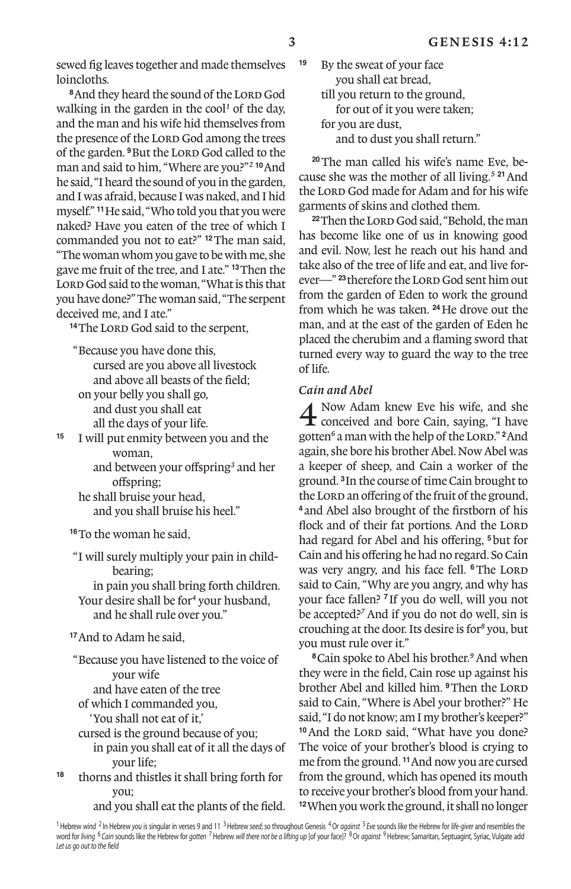sewed fig leaves together and made themselves loincloths.

<sup>8</sup> And they heard the sound of the LORD God walking in the garden in the cool*1* of the day, and the man and his wife hid themselves from the presence of the LORD God among the trees of the garden. <sup>9</sup>But the LORD God called to the man and said to him, "Where are you?"*2* **<sup>10</sup>**And he said, "I heard the sound of you in the garden, and I was afraid, because I was naked, and I hid myself." **<sup>11</sup>**He said, "Who told you that you were naked? Have you eaten of the tree of which I commanded you not to eat?" **<sup>12</sup>**The man said, "The woman whom you gave to be with me, she gave me fruit of the tree, and I ate." **<sup>13</sup>**Then the LORD God said to the woman, "What is this that you have done?" The woman said, "The serpent deceived me, and I ate."

<sup>14</sup>The LORD God said to the serpent,

"Because you have done this, cursed are you above all livestock and above all beasts of the field; on your belly you shall go, and dust you shall eat

all the days of your life.

**<sup>15</sup>** I will put enmity between you and the woman,

and between your offspring<sup>3</sup> and her offspring;

he shall bruise your head, and you shall bruise his heel."

**<sup>16</sup>**To the woman he said,

"I will surely multiply your pain in childbearing;

in pain you shall bring forth children. Your desire shall be for*4* your husband, and he shall rule over you."

**<sup>17</sup>**And to Adam he said,

"Because you have listened to the voice of your wife and have eaten of the tree

of which I commanded you,

'You shall not eat of it,'

- cursed is the ground because of you; in pain you shall eat of it all the days of your life;
- **<sup>18</sup>** thorns and thistles it shall bring forth for you;

and you shall eat the plants of the field.

**<sup>19</sup>** By the sweat of your face you shall eat bread, till you return to the ground, for out of it you were taken; for you are dust, and to dust you shall return."

**20**The man called his wife's name Eve, because she was the mother of all living.*5* **<sup>21</sup>**And the LORD God made for Adam and for his wife garments of skins and clothed them.

<sup>22</sup>Then the Lor<sub>D</sub> God said, "Behold, the man has become like one of us in knowing good and evil. Now, lest he reach out his hand and take also of the tree of life and eat, and live forever—"<sup>23</sup> therefore the LORD God sent him out from the garden of Eden to work the ground from which he was taken. **<sup>24</sup>**He drove out the man, and at the east of the garden of Eden he placed the cherubim and a flaming sword that turned every way to guard the way to the tree of life.

## *Cain and Abel*

4 Now Adam knew Eve his wife, and she  $\mathbf t$  conceived and bore Cain, saving, "I have gotten<sup>6</sup> a man with the help of the Lord." <sup>2</sup>And again, she bore his brother Abel. Now Abel was a keeper of sheep, and Cain a worker of the ground. **<sup>3</sup>**In the course of time Cain brought to the Lord an offering of the fruit of the ground, **<sup>4</sup>** and Abel also brought of the firstborn of his flock and of their fat portions. And the LORD had regard for Abel and his offering, <sup>5</sup>but for Cain and his offering he had no regard. So Cain was very angry, and his face fell. <sup>6</sup>The LORD said to Cain, "Why are you angry, and why has your face fallen? **<sup>7</sup>** If you do well, will you not be accepted?*7* And if you do not do well, sin is crouching at the door. Its desire is for*8* you, but you must rule over it."

**<sup>8</sup>**Cain spoke to Abel his brother.*9* And when they were in the field, Cain rose up against his brother Abel and killed him. <sup>9</sup>Then the LORD said to Cain, "Where is Abel your brother?" He said, "I do not know; am I my brother's keeper?" <sup>10</sup> And the LORD said, "What have you done? The voice of your brother's blood is crying to me from the ground. **<sup>11</sup>**And now you are cursed from the ground, which has opened its mouth to receive your brother's blood from your hand. **<sup>12</sup>**When you work the ground, it shall no longer